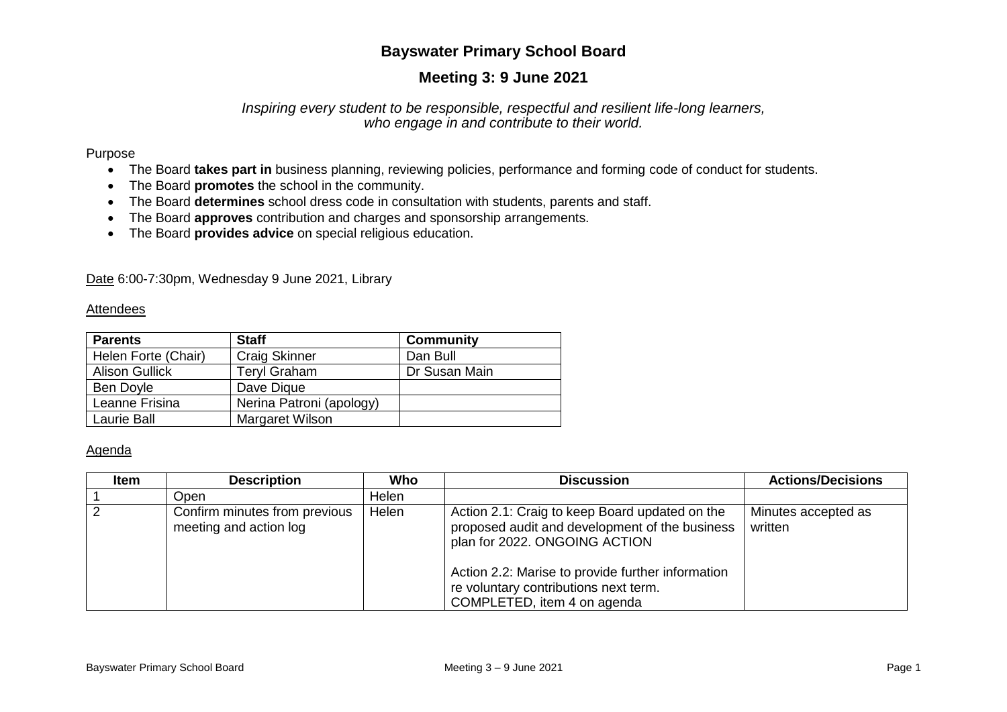# **Bayswater Primary School Board**

# **Meeting 3: 9 June 2021**

### *Inspiring every student to be responsible, respectful and resilient life-long learners, who engage in and contribute to their world.*

### Purpose

- The Board **takes part in** business planning, reviewing policies, performance and forming code of conduct for students.
- The Board **promotes** the school in the community.
- The Board **determines** school dress code in consultation with students, parents and staff.
- The Board **approves** contribution and charges and sponsorship arrangements.
- The Board **provides advice** on special religious education.

Date 6:00-7:30pm, Wednesday 9 June 2021, Library

#### Attendees

| <b>Parents</b>        | <b>Staff</b>             | <b>Community</b> |
|-----------------------|--------------------------|------------------|
| Helen Forte (Chair)   | <b>Craig Skinner</b>     | Dan Bull         |
| <b>Alison Gullick</b> | <b>Teryl Graham</b>      | Dr Susan Main    |
| Ben Doyle             | Dave Digue               |                  |
| Leanne Frisina        | Nerina Patroni (apology) |                  |
| Laurie Ball           | Margaret Wilson          |                  |

### Agenda

| Item | <b>Description</b>                                      | Who   | <b>Discussion</b>                                                                                                                                                                                                                                              | <b>Actions/Decisions</b>       |
|------|---------------------------------------------------------|-------|----------------------------------------------------------------------------------------------------------------------------------------------------------------------------------------------------------------------------------------------------------------|--------------------------------|
|      | Open                                                    | Helen |                                                                                                                                                                                                                                                                |                                |
|      | Confirm minutes from previous<br>meeting and action log | Helen | Action 2.1: Craig to keep Board updated on the<br>proposed audit and development of the business<br>plan for 2022. ONGOING ACTION<br>Action 2.2: Marise to provide further information<br>re voluntary contributions next term.<br>COMPLETED, item 4 on agenda | Minutes accepted as<br>written |